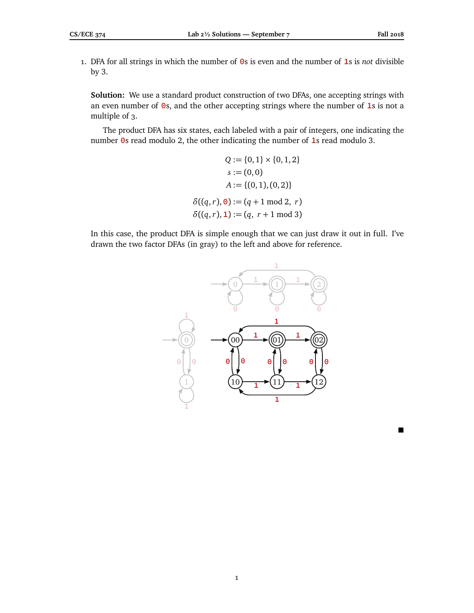$\blacksquare$ 

1. DFA for all strings in which the number of **0**s is even and the number of **1**s is *not* divisible by 3.

**Solution:** We use a standard product construction of two DFAs, one accepting strings with an even number of **0**s, and the other accepting strings where the number of **1**s is not a multiple of 3.

The product DFA has six states, each labeled with a pair of integers, one indicating the number **0**s read modulo 2, the other indicating the number of **1**s read modulo 3.

$$
Q := \{0, 1\} \times \{0, 1, 2\}
$$
  

$$
s := (0, 0)
$$
  

$$
A := \{(0, 1), (0, 2)\}
$$
  

$$
\delta((q, r), 0) := (q + 1 \mod 2, r)
$$
  

$$
\delta((q, r), 1) := (q, r + 1 \mod 3)
$$

In this case, the product DFA is simple enough that we can just draw it out in full. I've drawn the two factor DFAs (in gray) to the left and above for reference.

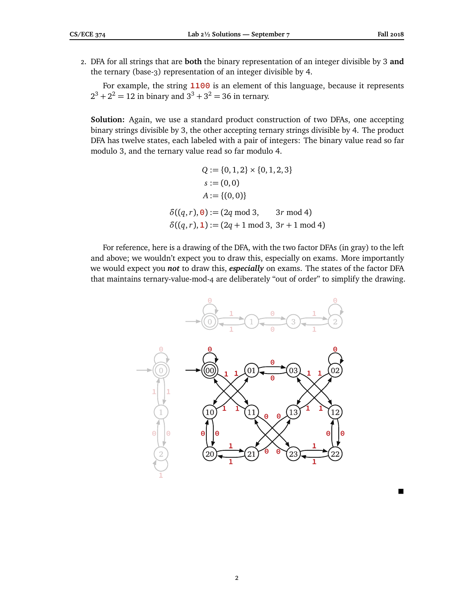$\blacksquare$ 

2. DFA for all strings that are **both** the binary representation of an integer divisible by 3 **and** the ternary (base-3) representation of an integer divisible by 4.

For example, the string **1100** is an element of this language, because it represents  $2^3 + 2^2 = 12$  in binary and  $3^3 + 3^2 = 36$  in ternary.

**Solution:** Again, we use a standard product construction of two DFAs, one accepting binary strings divisible by 3, the other accepting ternary strings divisible by 4. The product DFA has twelve states, each labeled with a pair of integers: The binary value read so far modulo 3, and the ternary value read so far modulo 4.

$$
Q := \{0, 1, 2\} \times \{0, 1, 2, 3\}
$$
  

$$
s := (0, 0)
$$
  

$$
A := \{(0, 0)\}
$$
  

$$
\delta((q, r), 0) := (2q \mod 3, \qquad 3r \mod 4)
$$
  

$$
\delta((q, r), 1) := (2q + 1 \mod 3, 3r + 1 \mod 4)
$$

For reference, here is a drawing of the DFA, with the two factor DFAs (in gray) to the left and above; we wouldn't expect you to draw this, especially on exams. More importantly we would expect you *not* to draw this, *especially* on exams. The states of the factor DFA that maintains ternary-value-mod-4 are deliberately "out of order" to simplify the drawing.

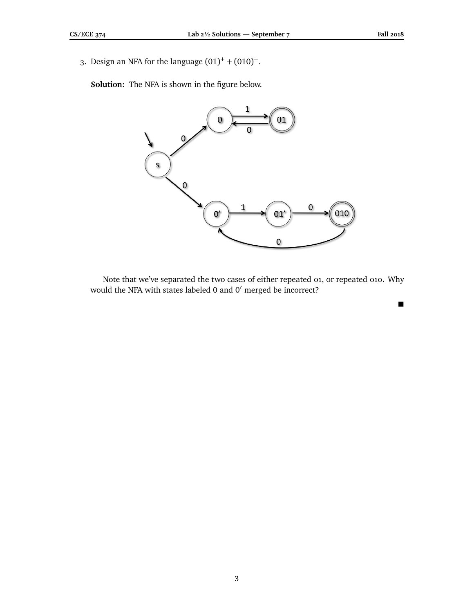$\blacksquare$ 

3. Design an NFA for the language  $(01)^+$  +  $(010)^+$ .

**Solution:** The NFA is shown in the figure below.



Note that we've separated the two cases of either repeated 01, or repeated 010. Why would the NFA with states labeled 0 and 0' merged be incorrect?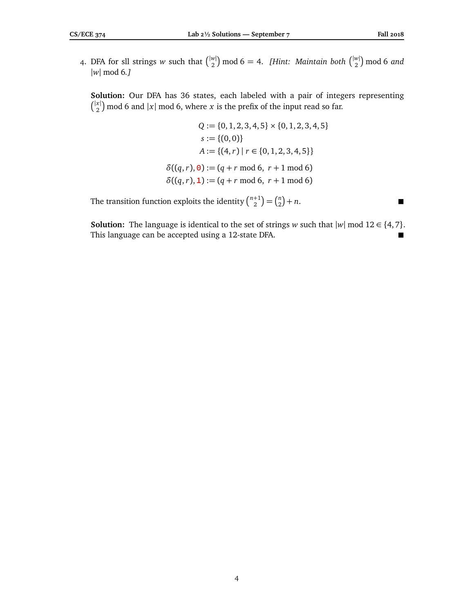4. DFA for sll strings *w* such that  $\binom{|w|}{2}$  $\binom{w}{2}$  mod 6 = 4. *[Hint: Maintain both*  $\binom{|w|}{2}$  $_2^{\scriptscriptstyle(w|})$  mod 6 *and* |*w*| mod 6*.]*

**Solution:** Our DFA has 36 states, each labeled with a pair of integers representing  $\int_{0}^{|x|}$  $\binom{x}{2}$  mod 6 and  $|x|$  mod 6, where *x* is the prefix of the input read so far.

> $Q := \{0, 1, 2, 3, 4, 5\} \times \{0, 1, 2, 3, 4, 5\}$  $s := \{(0, 0)\}\;$  $A := \{(4, r) | r \in \{0, 1, 2, 3, 4, 5\}\}\$  $\delta((q, r), 0) := (q + r \mod 6, r + 1 \mod 6)$  $\delta((q, r), 1) := (q + r \mod 6, r + 1 \mod 6)$

The transition function exploits the identity  $\binom{n+1}{2} = \binom{n}{2}$  $\binom{n}{2} + n$ .

**Solution:** The language is identical to the set of strings *w* such that  $|w|$  mod 12 ∈ {4, 7}. This language can be accepted using a 12-state DFA.

4